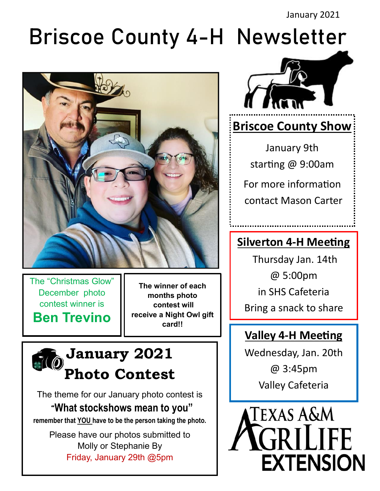# Briscoe County 4-H Newsletter



The "Christmas Glow" December photo contest winner is **Ben Trevino**

**The winner of each months photo contest will receive a Night Owl gift card!!**

## **January 2021 Photo Contest**

The theme for our January photo contest is "**What stockshows mean to you"**

**remember that YOU have to be the person taking the photo.** 

Please have our photos submitted to Molly or Stephanie By Friday, January 29th @5pm



## **Briscoe County Show**

January 9th starting @ 9:00am For more information contact Mason Carter

## **Silverton 4-H Meeting**

Thursday Jan. 14th @ 5:00pm in SHS Cafeteria Bring a snack to share

### **Valley 4-H Meeting**

Wednesday, Jan. 20th @ 3:45pm Valley Cafeteria

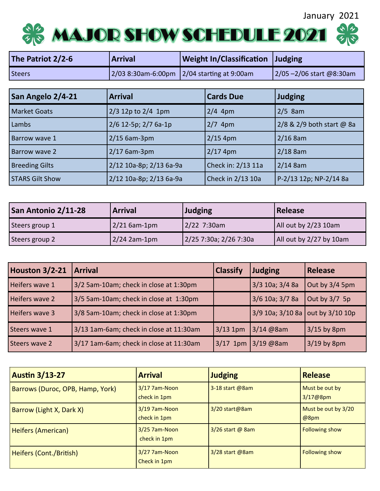January 2021



| The Patriot 2/2-6 | <b>Arrival</b> | <b>Weight In/Classification Judging</b>    |                         |
|-------------------|----------------|--------------------------------------------|-------------------------|
| <b>Steers</b>     |                | 2/03 8:30am-6:00pm 2/04 starting at 9:00am | 2/05-2/06 start @8:30am |

| San Angelo 2/4-21      | <b>Arrival</b>          | <b>Cards Due</b>   | <b>Judging</b>            |
|------------------------|-------------------------|--------------------|---------------------------|
| <b>Market Goats</b>    | $2/3$ 12p to 2/4 1pm    | $2/4$ 4pm          | $2/5$ 8am                 |
| Lambs                  | 2/6 12-5p; 2/7 6a-1p    | $2/7$ 4pm          | 2/8 & 2/9 both start @ 8a |
| <b>Barrow wave 1</b>   | $2/15$ 6am-3pm          | $2/15$ 4pm         | $2/16$ 8am                |
| Barrow wave 2          | $2/17$ 6am-3pm          | $2/17$ 4pm         | $2/18$ 8am                |
| <b>Breeding Gilts</b>  | 2/12 10a-8p; 2/13 6a-9a | Check in: 2/13 11a | $2/14$ 8am                |
| <b>STARS Gilt Show</b> | 2/12 10a-8p; 2/13 6a-9a | Check in 2/13 10a  | P-2/13 12p; NP-2/14 8a    |

| San Antonio 2/11-28 | <b>Arrival</b> | <b>Judging</b>         | <b>Release</b>          |
|---------------------|----------------|------------------------|-------------------------|
| Steers group 1      | $2/21$ 6am-1pm | 2/22 7:30am            | All out by 2/23 10am    |
| Steers group 2      | $2/24$ 2am-1pm | 2/25 7:30a; 2/26 7:30a | All out by 2/27 by 10am |

| Houston 3/2-21 | <b>Arrival</b>                          | <b>Classify</b> | <b>Judging</b>                         | <b>Release</b>   |
|----------------|-----------------------------------------|-----------------|----------------------------------------|------------------|
| Heifers wave 1 | 3/2 5am-10am; check in close at 1:30pm  |                 | 3/3 10a; 3/4 8a                        | Out by $3/4$ 5pm |
| Heifers wave 2 | 3/5 5am-10am; check in close at 1:30pm  |                 | 3/6 10a; 3/7 8a                        | Out by $3/7$ 5p  |
| Heifers wave 3 | 3/8 5am-10am; check in close at 1:30pm  |                 | $3/9$ 10a; $3/10$ 8a out by $3/10$ 10p |                  |
| Steers wave 1  | 3/13 1am-6am; check in close at 11:30am | $3/13$ 1pm      | 3/14 @8am                              | $3/15$ by 8pm    |
| Steers wave 2  | 3/17 1am-6am; check in close at 11:30am | $3/17$ 1pm      | $3/19$ @8am                            | $3/19$ by 8pm    |

| <b>Austin 3/13-27</b>            | <b>Arrival</b>                  | <b>Judging</b>    | <b>Release</b>                          |
|----------------------------------|---------------------------------|-------------------|-----------------------------------------|
| Barrows (Duroc, OPB, Hamp, York) | 3/17 7am-Noon<br>check in 1pm   | 3-18 start @8am   | Must be out by<br>3/17@8pm              |
| Barrow (Light X, Dark X)         | 3/19 7am-Noon<br>check in 1pm   | 3/20 start@8am    | Must be out by 3/20<br>@8 <sub>pm</sub> |
| Heifers (American)               | 3/25 7am-Noon<br>check in 1pm   | 3/26 start @ 8am  | <b>Following show</b>                   |
| Heifers (Cont./British)          | $3/27$ 7am-Noon<br>Check in 1pm | $3/28$ start @8am | <b>Following show</b>                   |